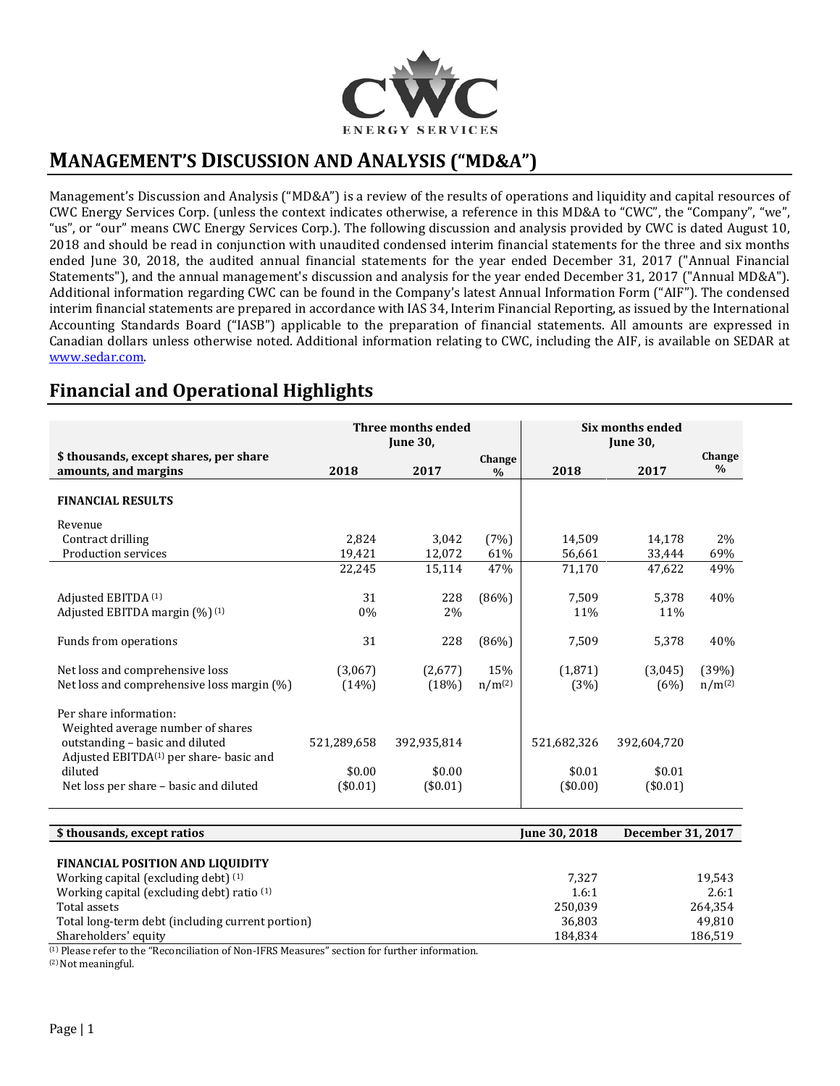

# **MANAGEMENT'S DISCUSSION AND ANALYSIS ("MD&A")**

Management's Discussion and Analysis ("MD&A") is a review of the results of operations and liquidity and capital resources of CWC Energy Services Corp. (unless the context indicates otherwise, a reference in this MD&A to "CWC", the "Company", "we", "us", or "our" means CWC Energy Services Corp.). The following discussion and analysis provided by CWC is dated August 10, 2018 and should be read in conjunction with unaudited condensed interim financial statements for the three and six months ended June 30, 2018, the audited annual financial statements for the year ended December 31, 2017 ("Annual Financial Statements"), and the annual management's discussion and analysis for the year ended December 31, 2017 ("Annual MD&A"). Additional information regarding CWC can be found in the Company's latest Annual Information Form ("AIF"). The condensed interim financial statements are prepared in accordance with IAS 34, Interim Financial Reporting, as issued by the International Accounting Standards Board ("IASB") applicable to the preparation of financial statements. All amounts are expressed in Canadian dollars unless otherwise noted. Additional information relating to CWC, including the AIF, is available on SEDAR at [www.sedar.com.](http://www.sedar.com/)

# **Financial and Operational Highlights**

|                                                                                                                      |             | Three months ended<br><b>June 30.</b> |                         |               | Six months ended<br><b>June 30,</b> |                         |
|----------------------------------------------------------------------------------------------------------------------|-------------|---------------------------------------|-------------------------|---------------|-------------------------------------|-------------------------|
| \$ thousands, except shares, per share<br>amounts, and margins                                                       | 2018        | 2017                                  | Change<br>$\frac{0}{0}$ | 2018          | 2017                                | Change<br>$\frac{0}{0}$ |
| <b>FINANCIAL RESULTS</b>                                                                                             |             |                                       |                         |               |                                     |                         |
| Revenue                                                                                                              |             |                                       |                         |               |                                     |                         |
| Contract drilling                                                                                                    | 2,824       | 3,042                                 | (7%)                    | 14,509        | 14,178                              | 2%                      |
| Production services                                                                                                  | 19,421      | 12,072                                | 61%                     | 56,661        | 33,444                              | 69%                     |
|                                                                                                                      | 22,245      | 15,114                                | 47%                     | 71,170        | 47,622                              | 49%                     |
| Adjusted EBITDA (1)                                                                                                  | 31          | 228                                   | (86%)                   | 7,509         | 5,378                               | 40%                     |
| Adjusted EBITDA margin (%) (1)                                                                                       | 0%          | 2%                                    |                         | 11%           | 11%                                 |                         |
| Funds from operations                                                                                                | 31          | 228                                   | (86%)                   | 7,509         | 5,378                               | 40%                     |
| Net loss and comprehensive loss                                                                                      | (3,067)     | (2,677)                               | 15%                     | (1,871)       | (3,045)                             | (39%)                   |
| Net loss and comprehensive loss margin (%)                                                                           | (14%)       | (18%)                                 | $n/m^{(2)}$             | (3%)          | (6%)                                | $n/m^{(2)}$             |
| Per share information:<br>Weighted average number of shares                                                          |             |                                       |                         |               |                                     |                         |
| outstanding - basic and diluted<br>Adjusted EBITDA <sup>(1)</sup> per share- basic and                               | 521,289,658 | 392,935,814                           |                         | 521,682,326   | 392,604,720                         |                         |
| diluted                                                                                                              | \$0.00      | \$0.00                                |                         | \$0.01        | \$0.01                              |                         |
| Net loss per share - basic and diluted                                                                               | (\$0.01)    | (\$0.01)                              |                         | (\$0.00)      | (\$0.01)                            |                         |
|                                                                                                                      |             |                                       |                         |               |                                     |                         |
| \$ thousands, except ratios                                                                                          |             |                                       |                         | June 30, 2018 | December 31, 2017                   |                         |
| <b>FINANCIAL POSITION AND LIQUIDITY</b>                                                                              |             |                                       |                         |               |                                     |                         |
| Working capital (excluding debt) (1)                                                                                 |             |                                       |                         | 7,327         |                                     | 19,543                  |
| Working capital (excluding debt) ratio (1)                                                                           |             |                                       |                         | 1.6:1         |                                     | 2.6:1                   |
| Total assets                                                                                                         |             |                                       |                         | 250,039       |                                     | 264,354                 |
| Total long-term debt (including current portion)                                                                     |             |                                       |                         | 36,803        |                                     | 49,810                  |
| Shareholders' equity<br>1) please refer to the "Pecepciliation of Nep IEDS Measures" section for further information |             |                                       |                         | 184,834       |                                     | 186,519                 |

to the "Reconciliation of Non-IFRS Measures"

(2) Not meaningful.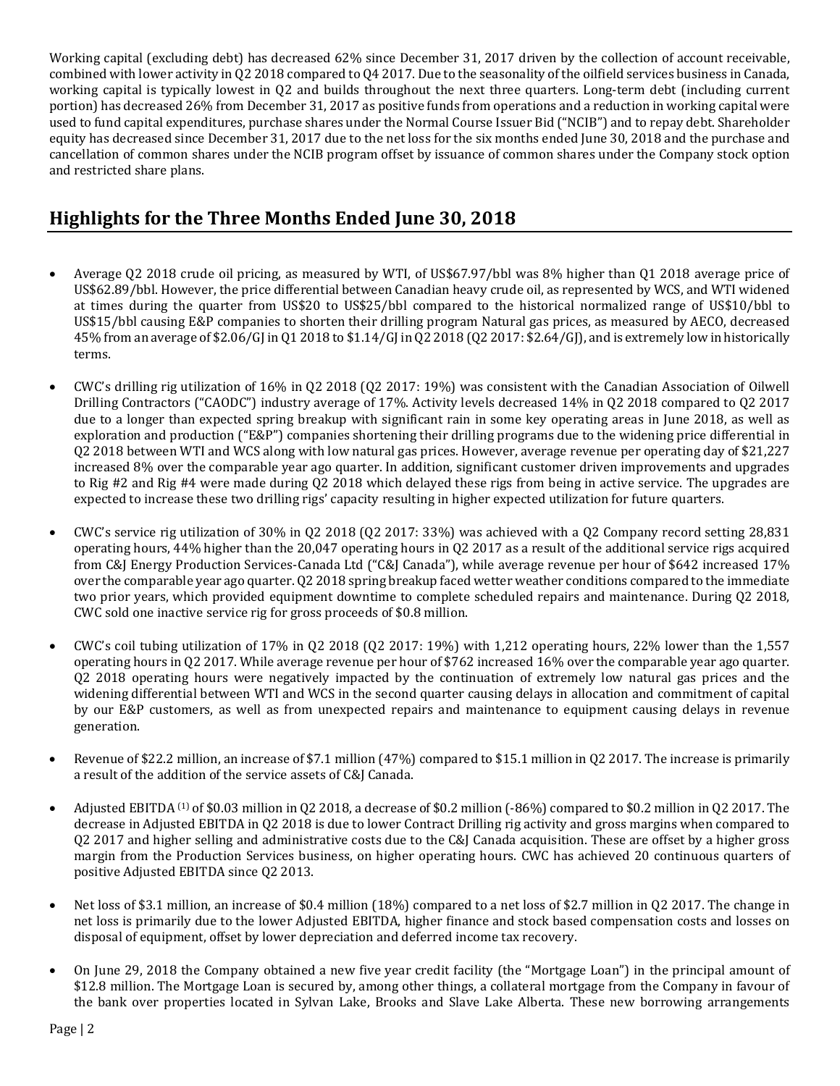Working capital (excluding debt) has decreased 62% since December 31, 2017 driven by the collection of account receivable, combined with lower activity in Q2 2018 compared to Q4 2017. Due to the seasonality of the oilfield services business in Canada, working capital is typically lowest in Q2 and builds throughout the next three quarters. Long-term debt (including current portion) has decreased 26% from December 31, 2017 as positive funds from operations and a reduction in working capital were used to fund capital expenditures, purchase shares under the Normal Course Issuer Bid ("NCIB") and to repay debt. Shareholder equity has decreased since December 31, 2017 due to the net loss for the six months ended June 30, 2018 and the purchase and cancellation of common shares under the NCIB program offset by issuance of common shares under the Company stock option and restricted share plans.

# **Highlights for the Three Months Ended June 30, 2018**

- Average Q2 2018 crude oil pricing, as measured by WTI, of US\$67.97/bbl was 8% higher than Q1 2018 average price of US\$62.89/bbl. However, the price differential between Canadian heavy crude oil, as represented by WCS, and WTI widened at times during the quarter from US\$20 to US\$25/bbl compared to the historical normalized range of US\$10/bbl to US\$15/bbl causing E&P companies to shorten their drilling program Natural gas prices, as measured by AECO, decreased 45% from an average of \$2.06/GJ in Q1 2018 to \$1.14/GJ in Q2 2018 (Q2 2017: \$2.64/GJ), and is extremely low in historically terms.
- CWC's drilling rig utilization of 16% in Q2 2018 (Q2 2017: 19%) was consistent with the Canadian Association of Oilwell Drilling Contractors ("CAODC") industry average of 17%. Activity levels decreased 14% in Q2 2018 compared to Q2 2017 due to a longer than expected spring breakup with significant rain in some key operating areas in June 2018, as well as exploration and production ("E&P") companies shortening their drilling programs due to the widening price differential in Q2 2018 between WTI and WCS along with low natural gas prices. However, average revenue per operating day of \$21,227 increased 8% over the comparable year ago quarter. In addition, significant customer driven improvements and upgrades to Rig #2 and Rig #4 were made during Q2 2018 which delayed these rigs from being in active service. The upgrades are expected to increase these two drilling rigs' capacity resulting in higher expected utilization for future quarters.
- CWC's service rig utilization of 30% in Q2 2018 (Q2 2017: 33%) was achieved with a Q2 Company record setting 28,831 operating hours, 44% higher than the 20,047 operating hours in Q2 2017 as a result of the additional service rigs acquired from C&J Energy Production Services-Canada Ltd ("C&J Canada"), while average revenue per hour of \$642 increased 17% over the comparable year ago quarter. Q2 2018 spring breakup faced wetter weather conditions compared to the immediate two prior years, which provided equipment downtime to complete scheduled repairs and maintenance. During Q2 2018, CWC sold one inactive service rig for gross proceeds of \$0.8 million.
- CWC's coil tubing utilization of 17% in Q2 2018 (Q2 2017: 19%) with 1,212 operating hours, 22% lower than the 1,557 operating hours in Q2 2017. While average revenue per hour of \$762 increased 16% over the comparable year ago quarter. Q2 2018 operating hours were negatively impacted by the continuation of extremely low natural gas prices and the widening differential between WTI and WCS in the second quarter causing delays in allocation and commitment of capital by our E&P customers, as well as from unexpected repairs and maintenance to equipment causing delays in revenue generation.
- Revenue of \$22.2 million, an increase of \$7.1 million (47%) compared to \$15.1 million in Q2 2017. The increase is primarily a result of the addition of the service assets of C&J Canada.
- Adjusted EBITDA (1) of \$0.03 million in Q2 2018, a decrease of \$0.2 million (-86%) compared to \$0.2 million in Q2 2017. The decrease in Adjusted EBITDA in Q2 2018 is due to lower Contract Drilling rig activity and gross margins when compared to Q2 2017 and higher selling and administrative costs due to the C&J Canada acquisition. These are offset by a higher gross margin from the Production Services business, on higher operating hours. CWC has achieved 20 continuous quarters of positive Adjusted EBITDA since Q2 2013.
- Net loss of \$3.1 million, an increase of \$0.4 million (18%) compared to a net loss of \$2.7 million in Q2 2017. The change in net loss is primarily due to the lower Adjusted EBITDA, higher finance and stock based compensation costs and losses on disposal of equipment, offset by lower depreciation and deferred income tax recovery.
- On June 29, 2018 the Company obtained a new five year credit facility (the "Mortgage Loan") in the principal amount of \$12.8 million. The Mortgage Loan is secured by, among other things, a collateral mortgage from the Company in favour of the bank over properties located in Sylvan Lake, Brooks and Slave Lake Alberta. These new borrowing arrangements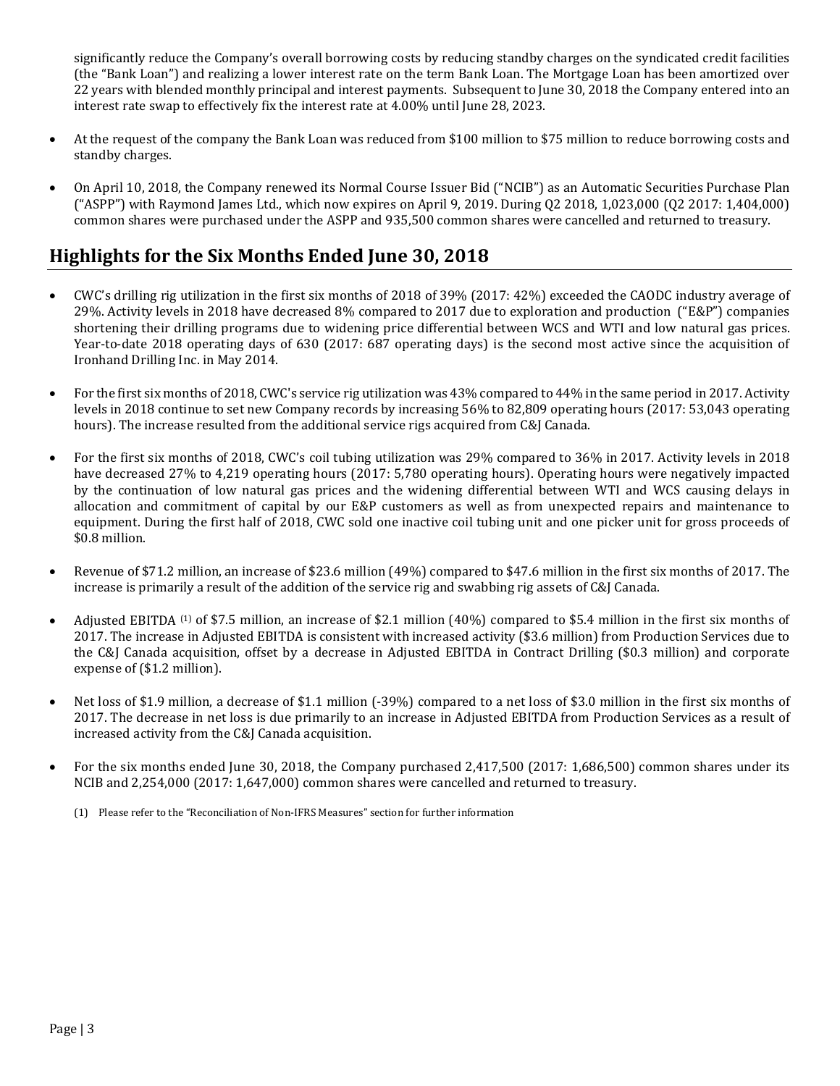significantly reduce the Company's overall borrowing costs by reducing standby charges on the syndicated credit facilities (the "Bank Loan") and realizing a lower interest rate on the term Bank Loan. The Mortgage Loan has been amortized over 22 years with blended monthly principal and interest payments. Subsequent to June 30, 2018 the Company entered into an interest rate swap to effectively fix the interest rate at 4.00% until June 28, 2023.

- At the request of the company the Bank Loan was reduced from \$100 million to \$75 million to reduce borrowing costs and standby charges.
- On April 10, 2018, the Company renewed its Normal Course Issuer Bid ("NCIB") as an Automatic Securities Purchase Plan ("ASPP") with Raymond James Ltd., which now expires on April 9, 2019. During Q2 2018, 1,023,000 (Q2 2017: 1,404,000) common shares were purchased under the ASPP and 935,500 common shares were cancelled and returned to treasury.

## **Highlights for the Six Months Ended June 30, 2018**

- CWC's drilling rig utilization in the first six months of 2018 of 39% (2017: 42%) exceeded the CAODC industry average of 29%. Activity levels in 2018 have decreased 8% compared to 2017 due to exploration and production ("E&P") companies shortening their drilling programs due to widening price differential between WCS and WTI and low natural gas prices. Year-to-date 2018 operating days of 630 (2017: 687 operating days) is the second most active since the acquisition of Ironhand Drilling Inc. in May 2014.
- For the first six months of 2018, CWC's service rig utilization was 43% compared to 44% in the same period in 2017. Activity levels in 2018 continue to set new Company records by increasing 56% to 82,809 operating hours (2017: 53,043 operating hours). The increase resulted from the additional service rigs acquired from C&J Canada.
- For the first six months of 2018, CWC's coil tubing utilization was 29% compared to 36% in 2017. Activity levels in 2018 have decreased 27% to 4,219 operating hours (2017: 5,780 operating hours). Operating hours were negatively impacted by the continuation of low natural gas prices and the widening differential between WTI and WCS causing delays in allocation and commitment of capital by our E&P customers as well as from unexpected repairs and maintenance to equipment. During the first half of 2018, CWC sold one inactive coil tubing unit and one picker unit for gross proceeds of \$0.8 million.
- Revenue of \$71.2 million, an increase of \$23.6 million (49%) compared to \$47.6 million in the first six months of 2017. The increase is primarily a result of the addition of the service rig and swabbing rig assets of C&J Canada.
- Adjusted EBITDA <sup>(1)</sup> of \$7.5 million, an increase of \$2.1 million (40%) compared to \$5.4 million in the first six months of 2017. The increase in Adjusted EBITDA is consistent with increased activity (\$3.6 million) from Production Services due to the C&J Canada acquisition, offset by a decrease in Adjusted EBITDA in Contract Drilling (\$0.3 million) and corporate expense of (\$1.2 million).
- Net loss of \$1.9 million, a decrease of \$1.1 million (-39%) compared to a net loss of \$3.0 million in the first six months of 2017. The decrease in net loss is due primarily to an increase in Adjusted EBITDA from Production Services as a result of increased activity from the C&J Canada acquisition.
- For the six months ended June 30, 2018, the Company purchased 2,417,500 (2017: 1,686,500) common shares under its NCIB and 2,254,000 (2017: 1,647,000) common shares were cancelled and returned to treasury.
	- (1) Please refer to the "Reconciliation of Non-IFRS Measures" section for further information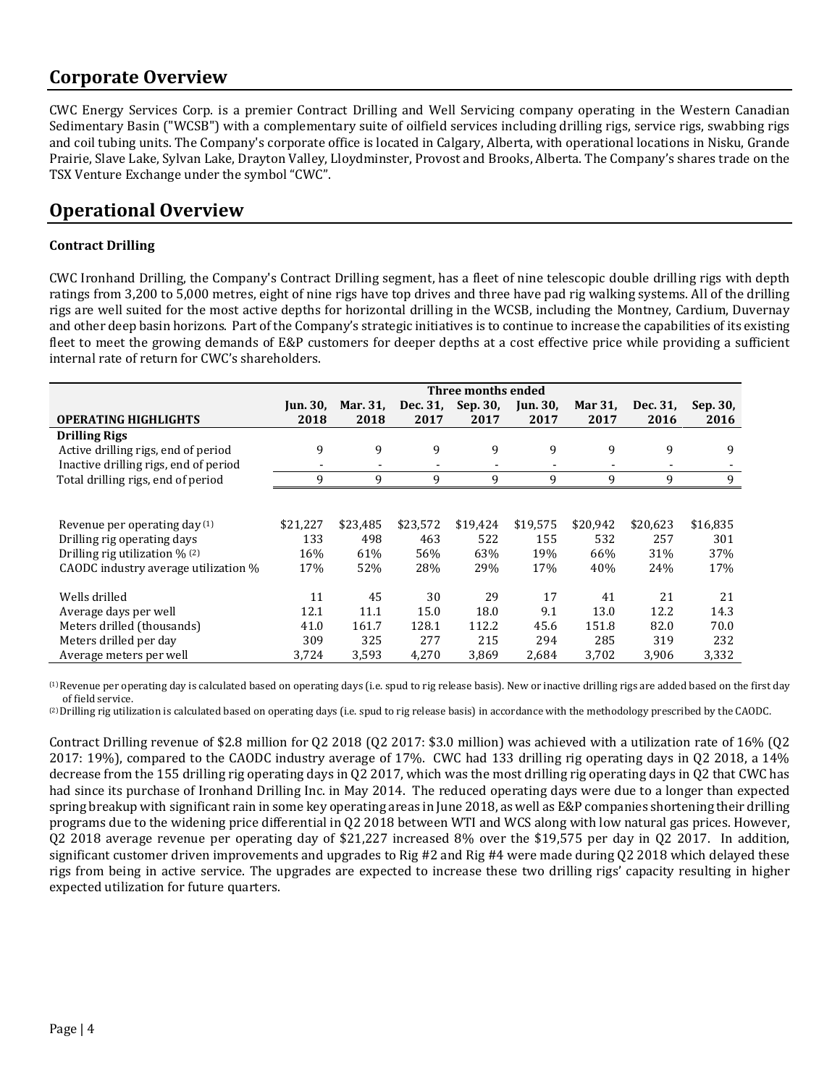### **Corporate Overview**

CWC Energy Services Corp. is a premier Contract Drilling and Well Servicing company operating in the Western Canadian Sedimentary Basin ("WCSB") with a complementary suite of oilfield services including drilling rigs, service rigs, swabbing rigs and coil tubing units. The Company's corporate office is located in Calgary, Alberta, with operational locations in Nisku, Grande Prairie, Slave Lake, Sylvan Lake, Drayton Valley, Lloydminster, Provost and Brooks, Alberta. The Company's shares trade on the TSX Venture Exchange under the symbol "CWC".

### **Operational Overview**

### **Contract Drilling**

CWC Ironhand Drilling, the Company's Contract Drilling segment, has a fleet of nine telescopic double drilling rigs with depth ratings from 3,200 to 5,000 metres, eight of nine rigs have top drives and three have pad rig walking systems. All of the drilling rigs are well suited for the most active depths for horizontal drilling in the WCSB, including the Montney, Cardium, Duvernay and other deep basin horizons. Part of the Company's strategic initiatives is to continue to increase the capabilities of its existing fleet to meet the growing demands of E&P customers for deeper depths at a cost effective price while providing a sufficient internal rate of return for CWC's shareholders.

|                                       |                          |                          |          | Three months ended |                          |          |          |          |
|---------------------------------------|--------------------------|--------------------------|----------|--------------------|--------------------------|----------|----------|----------|
|                                       | <b>Jun. 30,</b>          | Mar. 31,                 | Dec. 31, | Sep. 30,           | Jun. 30,                 | Mar 31,  | Dec. 31, | Sep. 30, |
| <b>OPERATING HIGHLIGHTS</b>           | 2018                     | 2018                     | 2017     | 2017               | 2017                     | 2017     | 2016     | 2016     |
| <b>Drilling Rigs</b>                  |                          |                          |          |                    |                          |          |          |          |
| Active drilling rigs, end of period   | 9                        | 9                        | 9        | 9                  | 9                        | 9        | 9        | 9        |
| Inactive drilling rigs, end of period | $\overline{\phantom{0}}$ | $\overline{\phantom{a}}$ |          |                    | $\overline{\phantom{a}}$ |          |          |          |
| Total drilling rigs, end of period    | 9                        | 9                        | 9        | 9                  | 9                        | 9        | 9        | 9        |
|                                       |                          |                          |          |                    |                          |          |          |          |
| Revenue per operating day (1)         | \$21,227                 | \$23,485                 | \$23,572 | \$19,424           | \$19,575                 | \$20,942 | \$20,623 | \$16,835 |
| Drilling rig operating days           | 133                      | 498                      | 463      | 522                | 155                      | 532      | 257      | 301      |
| Drilling rig utilization $\%$ (2)     | 16%                      | 61%                      | 56%      | 63%                | 19%                      | 66%      | 31%      | 37%      |
| CAODC industry average utilization %  | 17%                      | 52%                      | 28%      | 29%                | 17%                      | 40%      | 24%      | 17%      |
| Wells drilled                         | 11                       | 45                       | 30       | 29                 | 17                       | 41       | 21       | 21       |
| Average days per well                 | 12.1                     | 11.1                     | 15.0     | 18.0               | 9.1                      | 13.0     | 12.2     | 14.3     |
| Meters drilled (thousands)            | 41.0                     | 161.7                    | 128.1    | 112.2              | 45.6                     | 151.8    | 82.0     | 70.0     |
| Meters drilled per day                | 309                      | 325                      | 277      | 215                | 294                      | 285      | 319      | 232      |
| Average meters per well               | 3,724                    | 3,593                    | 4,270    | 3,869              | 2,684                    | 3,702    | 3,906    | 3,332    |

(1) Revenue per operating day is calculated based on operating days (i.e. spud to rig release basis). New or inactive drilling rigs are added based on the first day of field service.

(2)Drilling rig utilization is calculated based on operating days (i.e. spud to rig release basis) in accordance with the methodology prescribed by the CAODC.

Contract Drilling revenue of \$2.8 million for Q2 2018 (Q2 2017: \$3.0 million) was achieved with a utilization rate of 16% (Q2 2017: 19%), compared to the CAODC industry average of 17%. CWC had 133 drilling rig operating days in Q2 2018, a 14% decrease from the 155 drilling rig operating days in Q2 2017, which was the most drilling rig operating days in Q2 that CWC has had since its purchase of Ironhand Drilling Inc. in May 2014. The reduced operating days were due to a longer than expected spring breakup with significant rain in some key operating areas in June 2018, as well as E&P companies shortening their drilling programs due to the widening price differential in Q2 2018 between WTI and WCS along with low natural gas prices. However, Q2 2018 average revenue per operating day of \$21,227 increased 8% over the \$19,575 per day in Q2 2017. In addition, significant customer driven improvements and upgrades to Rig #2 and Rig #4 were made during Q2 2018 which delayed these rigs from being in active service. The upgrades are expected to increase these two drilling rigs' capacity resulting in higher expected utilization for future quarters.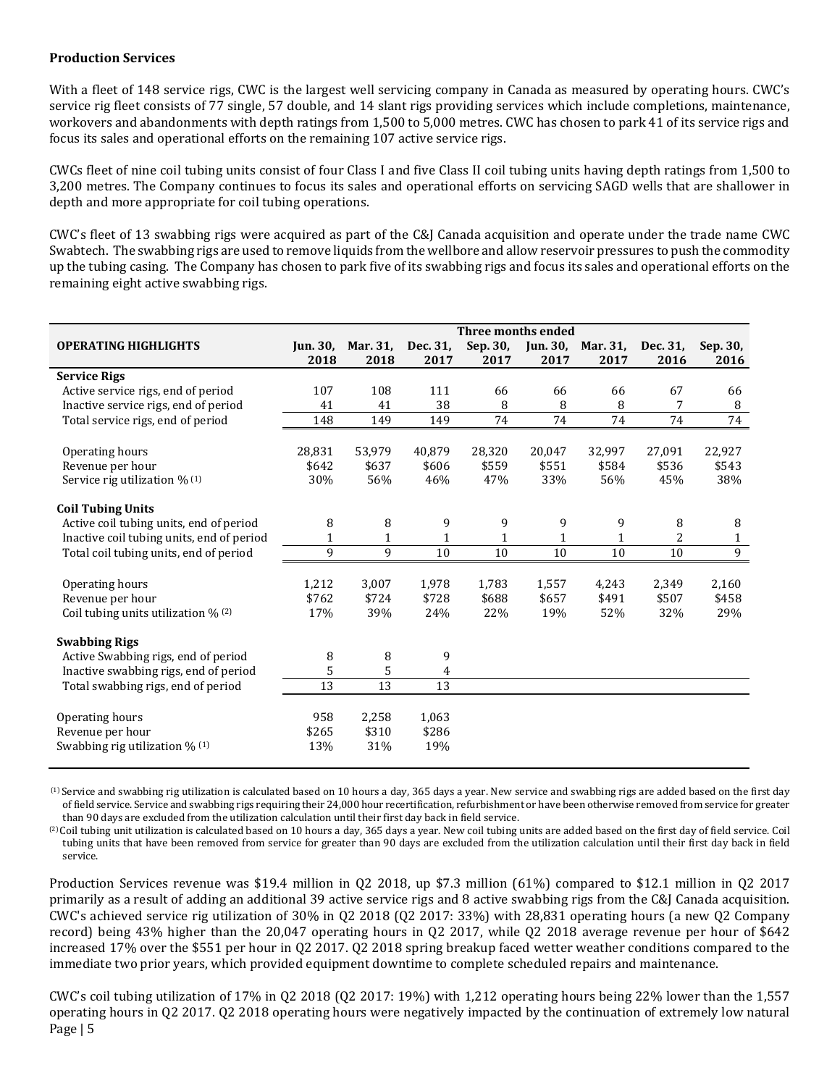#### **Production Services**

With a fleet of 148 service rigs, CWC is the largest well servicing company in Canada as measured by operating hours. CWC's service rig fleet consists of 77 single, 57 double, and 14 slant rigs providing services which include completions, maintenance, workovers and abandonments with depth ratings from 1,500 to 5,000 metres. CWC has chosen to park 41 of its service rigs and focus its sales and operational efforts on the remaining 107 active service rigs.

CWCs fleet of nine coil tubing units consist of four Class I and five Class II coil tubing units having depth ratings from 1,500 to 3,200 metres. The Company continues to focus its sales and operational efforts on servicing SAGD wells that are shallower in depth and more appropriate for coil tubing operations.

CWC's fleet of 13 swabbing rigs were acquired as part of the C&J Canada acquisition and operate under the trade name CWC Swabtech. The swabbing rigs are used to remove liquids from the wellbore and allow reservoir pressures to push the commodity up the tubing casing. The Company has chosen to park five of its swabbing rigs and focus its sales and operational efforts on the remaining eight active swabbing rigs.

|                                              |                 |              |              | Three months ended |              |              |                |              |
|----------------------------------------------|-----------------|--------------|--------------|--------------------|--------------|--------------|----------------|--------------|
| <b>OPERATING HIGHLIGHTS</b>                  | <b>Jun. 30.</b> | Mar. 31,     | Dec. 31,     | Sep. 30,           | Jun. 30,     | Mar. 31,     | Dec. 31,       | Sep. 30,     |
|                                              | 2018            | 2018         | 2017         | 2017               | 2017         | 2017         | 2016           | 2016         |
| <b>Service Rigs</b>                          |                 |              |              |                    |              |              |                |              |
| Active service rigs, end of period           | 107             | 108          | 111          | 66                 | 66           | 66           | 67             | 66           |
| Inactive service rigs, end of period         | 41              | 41           | 38           | 8                  | 8            | 8            | 7              | 8            |
| Total service rigs, end of period            | 148             | 149          | 149          | 74                 | 74           | 74           | 74             | 74           |
| Operating hours                              | 28,831          | 53,979       | 40,879       | 28,320             | 20,047       | 32,997       | 27,091         | 22,927       |
| Revenue per hour                             | \$642           | \$637        | \$606        | \$559              | \$551        | \$584        | \$536          | \$543        |
| Service rig utilization % (1)                | 30%             | 56%          | 46%          | 47%                | 33%          | 56%          | 45%            | 38%          |
| <b>Coil Tubing Units</b>                     |                 |              |              |                    |              |              |                |              |
| Active coil tubing units, end of period      | 8               | 8            | 9            | 9                  | 9            | 9            | 8              | 8            |
| Inactive coil tubing units, end of period    | 1               | $\mathbf{1}$ | $\mathbf{1}$ | $\mathbf{1}$       | $\mathbf{1}$ | $\mathbf{1}$ | $\overline{c}$ | $\mathbf{1}$ |
| Total coil tubing units, end of period       | 9               | 9            | $10\,$       | 10                 | 10           | 10           | 10             | 9            |
| Operating hours                              | 1,212           | 3,007        | 1,978        | 1,783              | 1,557        | 4,243        | 2,349          | 2,160        |
| Revenue per hour                             | \$762           | \$724        | \$728        | \$688              | \$657        | \$491        | \$507          | \$458        |
| Coil tubing units utilization $\%$ (2)       | 17%             | 39%          | 24%          | 22%                | 19%          | 52%          | 32%            | 29%          |
| <b>Swabbing Rigs</b>                         |                 |              |              |                    |              |              |                |              |
| Active Swabbing rigs, end of period          | 8               | 8            | 9            |                    |              |              |                |              |
| Inactive swabbing rigs, end of period        | 5               | 5            | 4            |                    |              |              |                |              |
| Total swabbing rigs, end of period           | 13              | 13           | 13           |                    |              |              |                |              |
|                                              |                 |              |              |                    |              |              |                |              |
| Operating hours                              | 958             | 2,258        | 1,063        |                    |              |              |                |              |
| Revenue per hour                             | \$265           | \$310        | \$286        |                    |              |              |                |              |
| Swabbing rig utilization $\%$ <sup>(1)</sup> | 13%             | 31%          | 19%          |                    |              |              |                |              |

 $<sup>(1)</sup>$  Service and swabbing rig utilization is calculated based on 10 hours a day, 365 days a year. New service and swabbing rigs are added based on the first day</sup> of field service. Service and swabbing rigs requiring their 24,000 hour recertification, refurbishment or have been otherwise removed from service for greater than 90 days are excluded from the utilization calculation until their first day back in field service.

(2) Coil tubing unit utilization is calculated based on 10 hours a day, 365 days a year. New coil tubing units are added based on the first day of field service. Coil tubing units that have been removed from service for greater than 90 days are excluded from the utilization calculation until their first day back in field service.

Production Services revenue was \$19.4 million in Q2 2018, up \$7.3 million (61%) compared to \$12.1 million in Q2 2017 primarily as a result of adding an additional 39 active service rigs and 8 active swabbing rigs from the C&J Canada acquisition. CWC's achieved service rig utilization of 30% in Q2 2018 (Q2 2017: 33%) with 28,831 operating hours (a new Q2 Company record) being 43% higher than the 20,047 operating hours in Q2 2017, while Q2 2018 average revenue per hour of \$642 increased 17% over the \$551 per hour in Q2 2017. Q2 2018 spring breakup faced wetter weather conditions compared to the immediate two prior years, which provided equipment downtime to complete scheduled repairs and maintenance.

Page | 5 CWC's coil tubing utilization of 17% in Q2 2018 (Q2 2017: 19%) with 1,212 operating hours being 22% lower than the 1,557 operating hours in Q2 2017. Q2 2018 operating hours were negatively impacted by the continuation of extremely low natural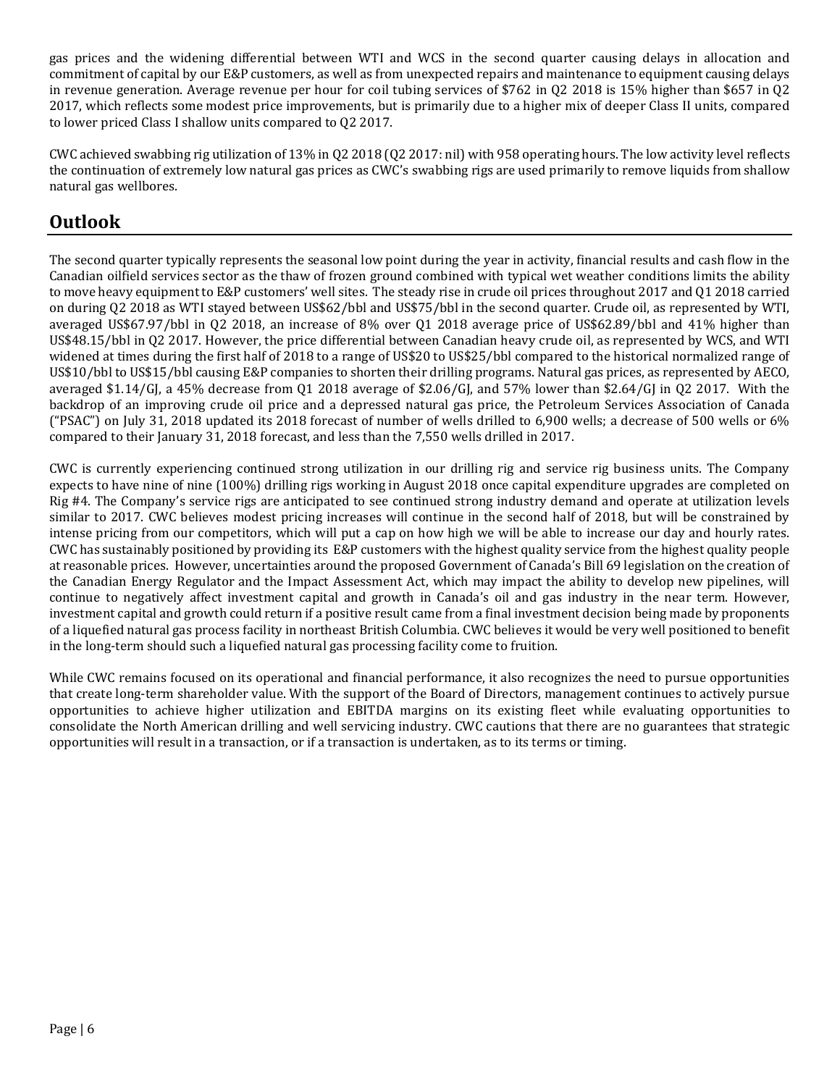gas prices and the widening differential between WTI and WCS in the second quarter causing delays in allocation and commitment of capital by our E&P customers, as well as from unexpected repairs and maintenance to equipment causing delays in revenue generation. Average revenue per hour for coil tubing services of \$762 in Q2 2018 is 15% higher than \$657 in Q2 2017, which reflects some modest price improvements, but is primarily due to a higher mix of deeper Class II units, compared to lower priced Class I shallow units compared to Q2 2017.

CWC achieved swabbing rig utilization of 13% in Q2 2018 (Q2 2017: nil) with 958 operating hours. The low activity level reflects the continuation of extremely low natural gas prices as CWC's swabbing rigs are used primarily to remove liquids from shallow natural gas wellbores.

## **Outlook**

The second quarter typically represents the seasonal low point during the year in activity, financial results and cash flow in the Canadian oilfield services sector as the thaw of frozen ground combined with typical wet weather conditions limits the ability to move heavy equipment to E&P customers' well sites. The steady rise in crude oil prices throughout 2017 and Q1 2018 carried on during Q2 2018 as WTI stayed between US\$62/bbl and US\$75/bbl in the second quarter. Crude oil, as represented by WTI, averaged US\$67.97/bbl in Q2 2018, an increase of 8% over Q1 2018 average price of US\$62.89/bbl and 41% higher than US\$48.15/bbl in Q2 2017. However, the price differential between Canadian heavy crude oil, as represented by WCS, and WTI widened at times during the first half of 2018 to a range of US\$20 to US\$25/bbl compared to the historical normalized range of US\$10/bbl to US\$15/bbl causing E&P companies to shorten their drilling programs. Natural gas prices, as represented by AECO, averaged \$1.14/GJ, a 45% decrease from Q1 2018 average of \$2.06/GJ, and 57% lower than \$2.64/GJ in Q2 2017. With the backdrop of an improving crude oil price and a depressed natural gas price, the Petroleum Services Association of Canada ("PSAC") on July 31, 2018 updated its 2018 forecast of number of wells drilled to 6,900 wells; a decrease of 500 wells or 6% compared to their January 31, 2018 forecast, and less than the 7,550 wells drilled in 2017.

CWC is currently experiencing continued strong utilization in our drilling rig and service rig business units. The Company expects to have nine of nine (100%) drilling rigs working in August 2018 once capital expenditure upgrades are completed on Rig #4. The Company's service rigs are anticipated to see continued strong industry demand and operate at utilization levels similar to 2017. CWC believes modest pricing increases will continue in the second half of 2018, but will be constrained by intense pricing from our competitors, which will put a cap on how high we will be able to increase our day and hourly rates. CWC has sustainably positioned by providing its E&P customers with the highest quality service from the highest quality people at reasonable prices. However, uncertainties around the proposed Government of Canada's Bill 69 legislation on the creation of the Canadian Energy Regulator and the Impact Assessment Act, which may impact the ability to develop new pipelines, will continue to negatively affect investment capital and growth in Canada's oil and gas industry in the near term. However, investment capital and growth could return if a positive result came from a final investment decision being made by proponents of a liquefied natural gas process facility in northeast British Columbia. CWC believes it would be very well positioned to benefit in the long-term should such a liquefied natural gas processing facility come to fruition.

While CWC remains focused on its operational and financial performance, it also recognizes the need to pursue opportunities that create long-term shareholder value. With the support of the Board of Directors, management continues to actively pursue opportunities to achieve higher utilization and EBITDA margins on its existing fleet while evaluating opportunities to consolidate the North American drilling and well servicing industry. CWC cautions that there are no guarantees that strategic opportunities will result in a transaction, or if a transaction is undertaken, as to its terms or timing.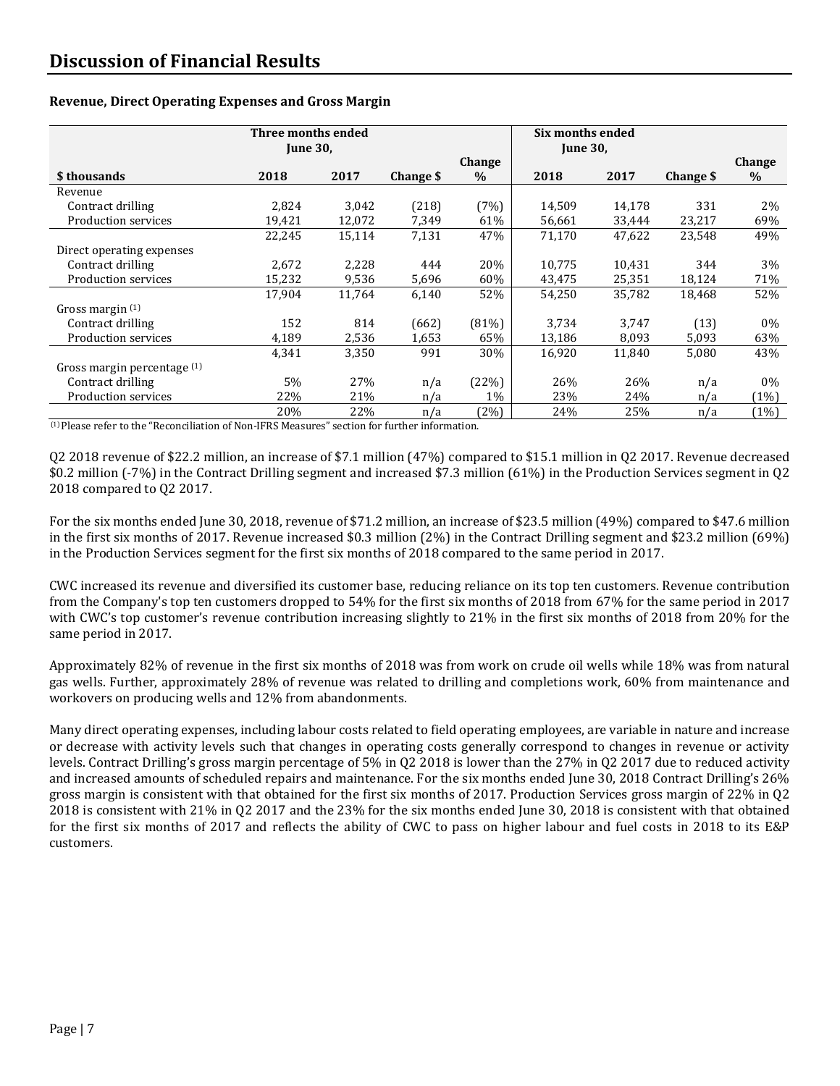|                             | Three months ended<br><b>June 30,</b> |        |           |               | Six months ended<br><b>June 30,</b> |        |           |        |
|-----------------------------|---------------------------------------|--------|-----------|---------------|-------------------------------------|--------|-----------|--------|
|                             |                                       |        |           | <b>Change</b> |                                     |        |           | Change |
| \$ thousands                | 2018                                  | 2017   | Change \$ | $\%$          | 2018                                | 2017   | Change \$ | $\%$   |
| Revenue                     |                                       |        |           |               |                                     |        |           |        |
| Contract drilling           | 2,824                                 | 3.042  | (218)     | (7%)          | 14,509                              | 14,178 | 331       | 2%     |
| Production services         | 19,421                                | 12,072 | 7,349     | 61%           | 56,661                              | 33,444 | 23,217    | 69%    |
|                             | 22,245                                | 15,114 | 7,131     | 47%           | 71,170                              | 47,622 | 23,548    | 49%    |
| Direct operating expenses   |                                       |        |           |               |                                     |        |           |        |
| Contract drilling           | 2,672                                 | 2,228  | 444       | 20%           | 10,775                              | 10,431 | 344       | 3%     |
| Production services         | 15,232                                | 9,536  | 5,696     | 60%           | 43,475                              | 25,351 | 18,124    | 71%    |
|                             | 17,904                                | 11,764 | 6,140     | 52%           | 54,250                              | 35,782 | 18,468    | 52%    |
| Gross margin (1)            |                                       |        |           |               |                                     |        |           |        |
| Contract drilling           | 152                                   | 814    | (662)     | (81%)         | 3,734                               | 3,747  | (13)      | 0%     |
| Production services         | 4,189                                 | 2,536  | 1,653     | 65%           | 13,186                              | 8,093  | 5,093     | 63%    |
|                             | 4,341                                 | 3,350  | 991       | 30%           | 16,920                              | 11,840 | 5,080     | 43%    |
| Gross margin percentage (1) |                                       |        |           |               |                                     |        |           |        |
| Contract drilling           | 5%                                    | 27%    | n/a       | (22%)         | 26%                                 | 26%    | n/a       | 0%     |
| Production services         | 22%                                   | 21%    | n/a       | $1\%$         | 23%                                 | 24%    | n/a       | (1%)   |
|                             | 20%                                   | 22%    | n/a       | (2%)          | 24%                                 | 25%    | n/a       | (1%)   |

#### **Revenue, Direct Operating Expenses and Gross Margin**

 $<sup>(1)</sup>$  Please refer to the "Reconciliation of Non-IFRS Measures" section for further information.</sup>

Q2 2018 revenue of \$22.2 million, an increase of \$7.1 million (47%) compared to \$15.1 million in Q2 2017. Revenue decreased \$0.2 million (-7%) in the Contract Drilling segment and increased \$7.3 million (61%) in the Production Services segment in Q2 2018 compared to Q2 2017.

For the six months ended June 30, 2018, revenue of \$71.2 million, an increase of \$23.5 million (49%) compared to \$47.6 million in the first six months of 2017. Revenue increased \$0.3 million (2%) in the Contract Drilling segment and \$23.2 million (69%) in the Production Services segment for the first six months of 2018 compared to the same period in 2017.

CWC increased its revenue and diversified its customer base, reducing reliance on its top ten customers. Revenue contribution from the Company's top ten customers dropped to 54% for the first six months of 2018 from 67% for the same period in 2017 with CWC's top customer's revenue contribution increasing slightly to 21% in the first six months of 2018 from 20% for the same period in 2017.

Approximately 82% of revenue in the first six months of 2018 was from work on crude oil wells while 18% was from natural gas wells. Further, approximately 28% of revenue was related to drilling and completions work, 60% from maintenance and workovers on producing wells and 12% from abandonments.

Many direct operating expenses, including labour costs related to field operating employees, are variable in nature and increase or decrease with activity levels such that changes in operating costs generally correspond to changes in revenue or activity levels. Contract Drilling's gross margin percentage of 5% in Q2 2018 is lower than the 27% in Q2 2017 due to reduced activity and increased amounts of scheduled repairs and maintenance. For the six months ended June 30, 2018 Contract Drilling's 26% gross margin is consistent with that obtained for the first six months of 2017. Production Services gross margin of 22% in Q2 2018 is consistent with 21% in Q2 2017 and the 23% for the six months ended June 30, 2018 is consistent with that obtained for the first six months of 2017 and reflects the ability of CWC to pass on higher labour and fuel costs in 2018 to its E&P customers.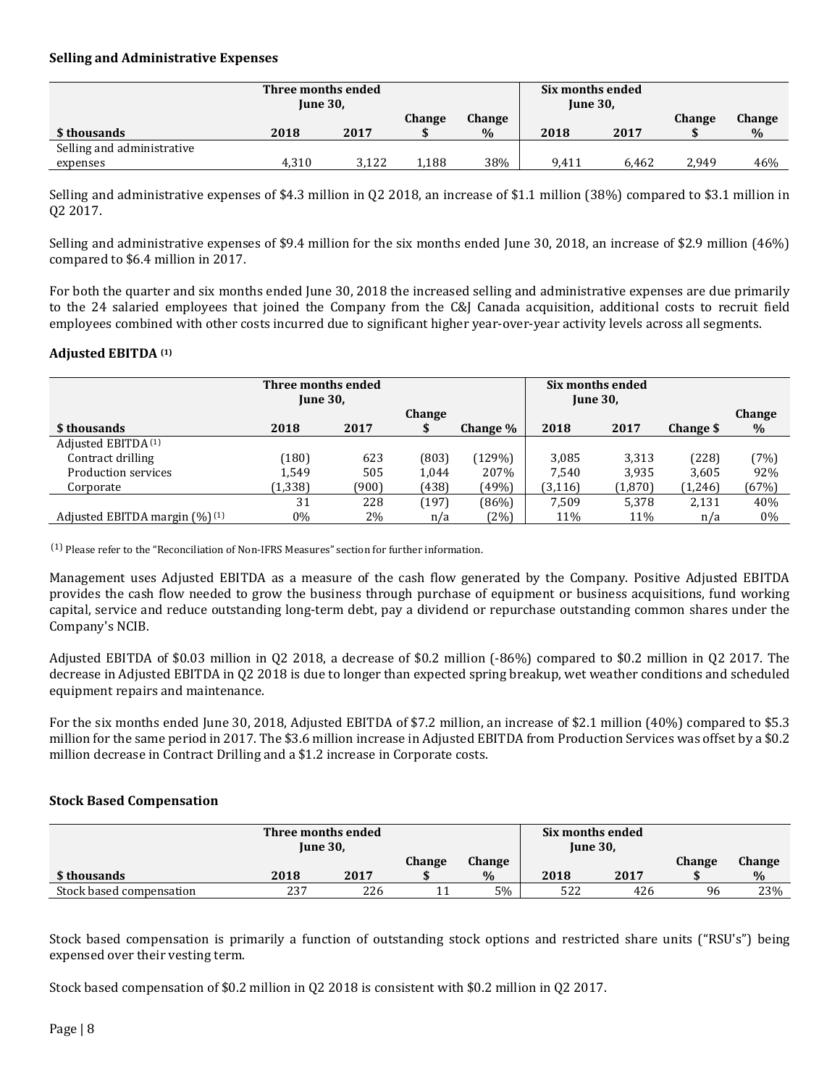#### **Selling and Administrative Expenses**

|                            | Three months ended<br><b>June 30,</b> |       |               |        | Six months ended<br><b>June 30,</b> |       |               |               |
|----------------------------|---------------------------------------|-------|---------------|--------|-------------------------------------|-------|---------------|---------------|
|                            |                                       |       | <b>Change</b> | Change |                                     |       | <b>Change</b> | <b>Change</b> |
| \$ thousands               | 2018                                  | 2017  |               | $\%$   | 2018                                | 2017  |               | $\%$          |
| Selling and administrative |                                       |       |               |        |                                     |       |               |               |
| expenses                   | 4.310                                 | 3.122 | 1,188         | 38%    | 9.411                               | 6.462 | 2.949         | 46%           |

Selling and administrative expenses of \$4.3 million in Q2 2018, an increase of \$1.1 million (38%) compared to \$3.1 million in Q2 2017.

Selling and administrative expenses of \$9.4 million for the six months ended June 30, 2018, an increase of \$2.9 million (46%) compared to \$6.4 million in 2017.

For both the quarter and six months ended June 30, 2018 the increased selling and administrative expenses are due primarily to the 24 salaried employees that joined the Company from the C&J Canada acquisition, additional costs to recruit field employees combined with other costs incurred due to significant higher year-over-year activity levels across all segments.

#### **Adjusted EBITDA (1)**

|                                  | Three months ended<br><b>June 30,</b> |       |             |          |          | Six months ended<br><b>June 30,</b> |           |                |  |
|----------------------------------|---------------------------------------|-------|-------------|----------|----------|-------------------------------------|-----------|----------------|--|
| \$ thousands                     | 2018                                  | 2017  | Change<br>⊅ | Change % | 2018     | 2017                                | Change \$ | Change<br>$\%$ |  |
| Adjusted EBITDA <sup>(1)</sup>   |                                       |       |             |          |          |                                     |           |                |  |
| Contract drilling                | (180)                                 | 623   | (803)       | (129%)   | 3.085    | 3.313                               | (228)     | (7%)           |  |
| Production services              | 1.549                                 | 505   | 1.044       | 207%     | 7.540    | 3,935                               | 3.605     | 92%            |  |
| Corporate                        | (1,338)                               | (900) | (438)       | (49%)    | (3, 116) | (1,870)                             | (1,246)   | (67%)          |  |
|                                  | 31                                    | 228   | (197)       | (86%)    | 7.509    | 5.378                               | 2,131     | 40%            |  |
| Adjusted EBITDA margin $(\%)(1)$ | $0\%$                                 | 2%    | n/a         | (2%)     | 11%      | 11%                                 | n/a       | 0%             |  |

(1) Please refer to the "Reconciliation of Non-IFRS Measures" section for further information.

Management uses Adjusted EBITDA as a measure of the cash flow generated by the Company. Positive Adjusted EBITDA provides the cash flow needed to grow the business through purchase of equipment or business acquisitions, fund working capital, service and reduce outstanding long-term debt, pay a dividend or repurchase outstanding common shares under the Company's NCIB.

Adjusted EBITDA of \$0.03 million in Q2 2018, a decrease of \$0.2 million (-86%) compared to \$0.2 million in Q2 2017. The decrease in Adjusted EBITDA in Q2 2018 is due to longer than expected spring breakup, wet weather conditions and scheduled equipment repairs and maintenance.

For the six months ended June 30, 2018, Adjusted EBITDA of \$7.2 million, an increase of \$2.1 million (40%) compared to \$5.3 million for the same period in 2017. The \$3.6 million increase in Adjusted EBITDA from Production Services was offset by a \$0.2 million decrease in Contract Drilling and a \$1.2 increase in Corporate costs.

#### **Stock Based Compensation**

|                          | Three months ended<br><b>June 30,</b> |      |        |                | Six months ended<br><b>June 30,</b> |      |        |                       |
|--------------------------|---------------------------------------|------|--------|----------------|-------------------------------------|------|--------|-----------------------|
| \$ thousands             | 2018                                  | 2017 | Change | Change<br>$\%$ | 2018                                | 2017 | Change | <b>Change</b><br>$\%$ |
| Stock based compensation | 237                                   | 226  |        | 5%             | 522                                 | 426  | 96     | 23%                   |

Stock based compensation is primarily a function of outstanding stock options and restricted share units ("RSU's") being expensed over their vesting term.

Stock based compensation of \$0.2 million in Q2 2018 is consistent with \$0.2 million in Q2 2017.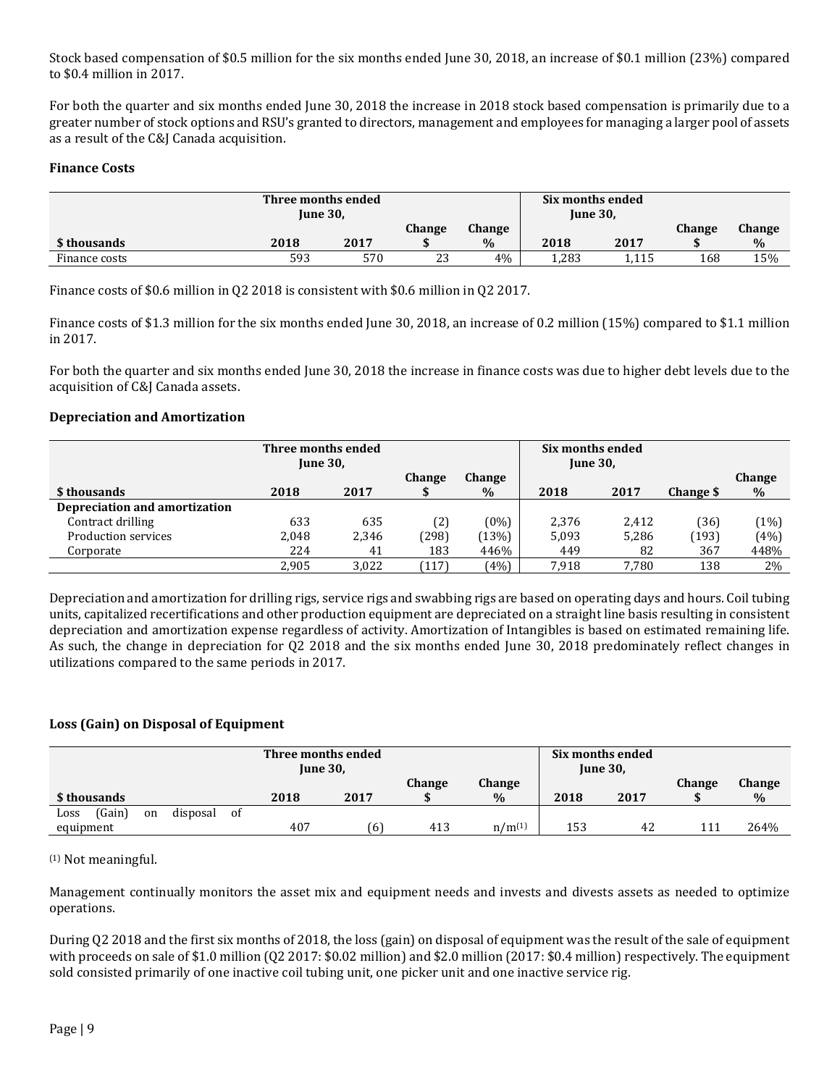Stock based compensation of \$0.5 million for the six months ended June 30, 2018, an increase of \$0.1 million (23%) compared to \$0.4 million in 2017.

For both the quarter and six months ended June 30, 2018 the increase in 2018 stock based compensation is primarily due to a greater number of stock options and RSU's granted to directors, management and employees for managing a larger pool of assets as a result of the C&J Canada acquisition.

#### **Finance Costs**

|               | Three months ended<br><b>June 30,</b> |      |        |               | Six months ended<br><b>June 30,</b> |       |               |        |
|---------------|---------------------------------------|------|--------|---------------|-------------------------------------|-------|---------------|--------|
|               |                                       |      | Change | <b>Change</b> |                                     |       | <b>Change</b> | Change |
| \$ thousands  | 2018                                  | 2017 |        | $\%$          | 2018                                | 2017  |               | $\%$   |
| Finance costs | 593                                   | 570  | 23     | 4%            | 1.283                               | 1.115 | 168           | 15%    |

Finance costs of \$0.6 million in Q2 2018 is consistent with \$0.6 million in Q2 2017.

Finance costs of \$1.3 million for the six months ended June 30, 2018, an increase of 0.2 million (15%) compared to \$1.1 million in 2017.

For both the quarter and six months ended June 30, 2018 the increase in finance costs was due to higher debt levels due to the acquisition of C&J Canada assets.

#### **Depreciation and Amortization**

|                               | Three months ended<br><b>June 30,</b> |       |               |               | Six months ended<br><b>June 30,</b> |       |           |        |
|-------------------------------|---------------------------------------|-------|---------------|---------------|-------------------------------------|-------|-----------|--------|
|                               |                                       |       | <b>Change</b> | <b>Change</b> |                                     |       |           | Change |
| \$ thousands                  | 2018                                  | 2017  |               | $\%$          | 2018                                | 2017  | Change \$ | $\%$   |
| Depreciation and amortization |                                       |       |               |               |                                     |       |           |        |
| Contract drilling             | 633                                   | 635   | (2)           | $(0\%)$       | 2,376                               | 2,412 | (36)      | (1%)   |
| Production services           | 2,048                                 | 2,346 | (298)         | $13\%$        | 5,093                               | 5,286 | (193)     | (4%)   |
| Corporate                     | 224                                   | 41    | 183           | 446%          | 449                                 | 82    | 367       | 448%   |
|                               | 2,905                                 | 3.022 | 117           | (4%)          | 7.918                               | 7.780 | 138       | 2%     |

Depreciation and amortization for drilling rigs, service rigs and swabbing rigs are based on operating days and hours. Coil tubing units, capitalized recertifications and other production equipment are depreciated on a straight line basis resulting in consistent depreciation and amortization expense regardless of activity. Amortization of Intangibles is based on estimated remaining life. As such, the change in depreciation for Q2 2018 and the six months ended June 30, 2018 predominately reflect changes in utilizations compared to the same periods in 2017.

### **Loss (Gain) on Disposal of Equipment**

| Three months ended<br><b>June 30,</b>    |      |      |        |             |      | Six months ended<br><b>June 30,</b> |        |               |
|------------------------------------------|------|------|--------|-------------|------|-------------------------------------|--------|---------------|
|                                          |      |      | Change | Change      |      |                                     | Change | <b>Change</b> |
| \$ thousands                             | 2018 | 2017 |        | $\%$        | 2018 | 2017                                |        | $\%$          |
| (Gain)<br>disposal<br>Loss<br>on<br>- of |      |      |        |             |      |                                     |        |               |
| equipment                                | 407  | (6)  | 413    | $n/m^{(1)}$ | 153  | 42                                  | 11     | 264%          |

(1) Not meaningful.

Management continually monitors the asset mix and equipment needs and invests and divests assets as needed to optimize operations.

During Q2 2018 and the first six months of 2018, the loss (gain) on disposal of equipment was the result of the sale of equipment with proceeds on sale of \$1.0 million (Q2 2017: \$0.02 million) and \$2.0 million (2017: \$0.4 million) respectively. The equipment sold consisted primarily of one inactive coil tubing unit, one picker unit and one inactive service rig.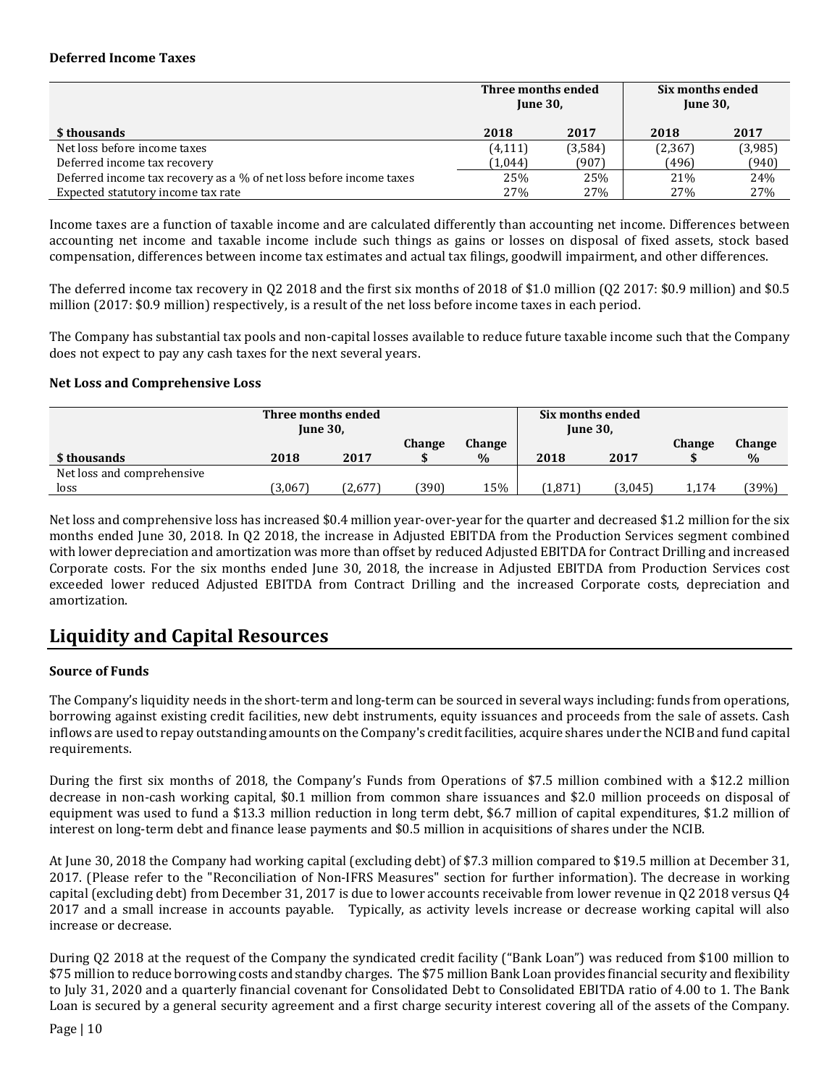#### **Deferred Income Taxes**

|                                                                     | Three months ended<br>June 30, |         | Six months ended<br><b>June 30,</b> |         |
|---------------------------------------------------------------------|--------------------------------|---------|-------------------------------------|---------|
| \$ thousands                                                        | 2018                           | 2017    | 2018                                | 2017    |
| Net loss before income taxes                                        | (4, 111)                       | (3,584) | (2,367)                             | (3,985) |
| Deferred income tax recovery                                        | (1,044)                        | (907)   | (496)                               | (940)   |
| Deferred income tax recovery as a % of net loss before income taxes | 25%                            | 25%     | 21%                                 | 24%     |
| Expected statutory income tax rate                                  | 27%                            | 27%     | 27%                                 | 27%     |

Income taxes are a function of taxable income and are calculated differently than accounting net income. Differences between accounting net income and taxable income include such things as gains or losses on disposal of fixed assets, stock based compensation, differences between income tax estimates and actual tax filings, goodwill impairment, and other differences.

The deferred income tax recovery in Q2 2018 and the first six months of 2018 of \$1.0 million (Q2 2017: \$0.9 million) and \$0.5 million (2017: \$0.9 million) respectively, is a result of the net loss before income taxes in each period.

The Company has substantial tax pools and non-capital losses available to reduce future taxable income such that the Company does not expect to pay any cash taxes for the next several years.

#### **Net Loss and Comprehensive Loss**

|                            | Three months ended<br><b>June 30,</b> |         |               |        | Six months ended<br><b>June 30,</b> |         |               |        |
|----------------------------|---------------------------------------|---------|---------------|--------|-------------------------------------|---------|---------------|--------|
|                            |                                       |         | <b>Change</b> | Change |                                     |         | <b>Change</b> | Change |
| \$ thousands               | 2018                                  | 2017    |               | $\%$   | 2018                                | 2017    |               | $\%$   |
| Net loss and comprehensive |                                       |         |               |        |                                     |         |               |        |
| loss                       | (3,067)                               | (2,677) | (390)         | 15%    | (1,871)                             | (3,045) | 1,174         | (39%)  |

Net loss and comprehensive loss has increased \$0.4 million year-over-year for the quarter and decreased \$1.2 million for the six months ended June 30, 2018. In Q2 2018, the increase in Adjusted EBITDA from the Production Services segment combined with lower depreciation and amortization was more than offset by reduced Adjusted EBITDA for Contract Drilling and increased Corporate costs. For the six months ended June 30, 2018, the increase in Adjusted EBITDA from Production Services cost exceeded lower reduced Adjusted EBITDA from Contract Drilling and the increased Corporate costs, depreciation and amortization.

### **Liquidity and Capital Resources**

### **Source of Funds**

The Company's liquidity needs in the short-term and long-term can be sourced in several ways including: funds from operations, borrowing against existing credit facilities, new debt instruments, equity issuances and proceeds from the sale of assets. Cash inflows are used to repay outstanding amounts on the Company's credit facilities, acquire shares under the NCIB and fund capital requirements.

During the first six months of 2018, the Company's Funds from Operations of \$7.5 million combined with a \$12.2 million decrease in non-cash working capital, \$0.1 million from common share issuances and \$2.0 million proceeds on disposal of equipment was used to fund a \$13.3 million reduction in long term debt, \$6.7 million of capital expenditures, \$1.2 million of interest on long-term debt and finance lease payments and \$0.5 million in acquisitions of shares under the NCIB.

At June 30, 2018 the Company had working capital (excluding debt) of \$7.3 million compared to \$19.5 million at December 31, 2017. (Please refer to the "Reconciliation of Non-IFRS Measures" section for further information). The decrease in working capital (excluding debt) from December 31, 2017 is due to lower accounts receivable from lower revenue in Q2 2018 versus Q4 2017 and a small increase in accounts payable. Typically, as activity levels increase or decrease working capital will also increase or decrease.

During Q2 2018 at the request of the Company the syndicated credit facility ("Bank Loan") was reduced from \$100 million to \$75 million to reduce borrowing costs and standby charges. The \$75 million Bank Loan provides financial security and flexibility to July 31, 2020 and a quarterly financial covenant for Consolidated Debt to Consolidated EBITDA ratio of 4.00 to 1. The Bank Loan is secured by a general security agreement and a first charge security interest covering all of the assets of the Company.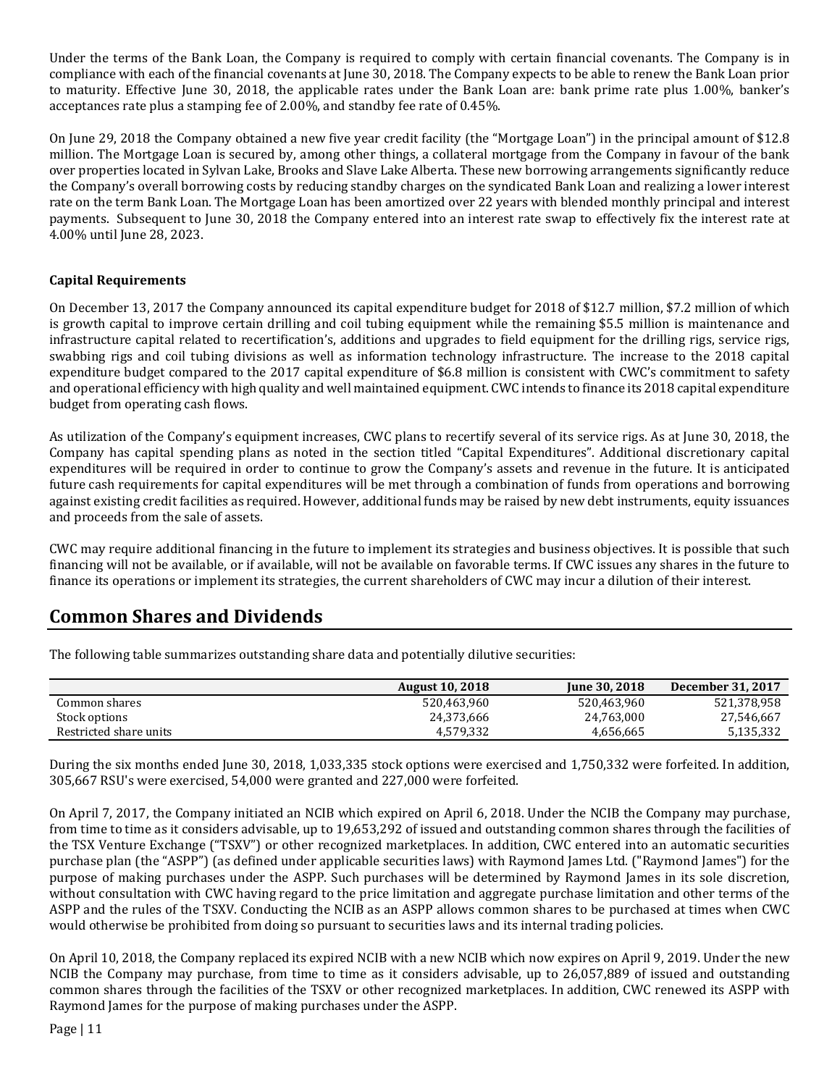Under the terms of the Bank Loan, the Company is required to comply with certain financial covenants. The Company is in compliance with each of the financial covenants at June 30, 2018. The Company expects to be able to renew the Bank Loan prior to maturity. Effective June 30, 2018, the applicable rates under the Bank Loan are: bank prime rate plus 1.00%, banker's acceptances rate plus a stamping fee of 2.00%, and standby fee rate of 0.45%.

On June 29, 2018 the Company obtained a new five year credit facility (the "Mortgage Loan") in the principal amount of \$12.8 million. The Mortgage Loan is secured by, among other things, a collateral mortgage from the Company in favour of the bank over properties located in Sylvan Lake, Brooks and Slave Lake Alberta. These new borrowing arrangements significantly reduce the Company's overall borrowing costs by reducing standby charges on the syndicated Bank Loan and realizing a lower interest rate on the term Bank Loan. The Mortgage Loan has been amortized over 22 years with blended monthly principal and interest payments. Subsequent to June 30, 2018 the Company entered into an interest rate swap to effectively fix the interest rate at 4.00% until June 28, 2023.

### **Capital Requirements**

On December 13, 2017 the Company announced its capital expenditure budget for 2018 of \$12.7 million, \$7.2 million of which is growth capital to improve certain drilling and coil tubing equipment while the remaining \$5.5 million is maintenance and infrastructure capital related to recertification's, additions and upgrades to field equipment for the drilling rigs, service rigs, swabbing rigs and coil tubing divisions as well as information technology infrastructure. The increase to the 2018 capital expenditure budget compared to the 2017 capital expenditure of \$6.8 million is consistent with CWC's commitment to safety and operational efficiency with high quality and well maintained equipment. CWC intends to finance its 2018 capital expenditure budget from operating cash flows.

As utilization of the Company's equipment increases, CWC plans to recertify several of its service rigs. As at June 30, 2018, the Company has capital spending plans as noted in the section titled "Capital Expenditures". Additional discretionary capital expenditures will be required in order to continue to grow the Company's assets and revenue in the future. It is anticipated future cash requirements for capital expenditures will be met through a combination of funds from operations and borrowing against existing credit facilities as required. However, additional funds may be raised by new debt instruments, equity issuances and proceeds from the sale of assets.

CWC may require additional financing in the future to implement its strategies and business objectives. It is possible that such financing will not be available, or if available, will not be available on favorable terms. If CWC issues any shares in the future to finance its operations or implement its strategies, the current shareholders of CWC may incur a dilution of their interest.

## **Common Shares and Dividends**

|                        | <b>August 10, 2018</b> | <b>Iune 30, 2018</b> | <b>December 31, 2017</b> |
|------------------------|------------------------|----------------------|--------------------------|
| Common shares          | 520,463,960            | 520,463,960          | 521,378,958              |
| Stock options          | 24,373,666             | 24,763,000           | 27,546,667               |
| Restricted share units | 4,579,332              | 4.656.665            | 5,135,332                |

The following table summarizes outstanding share data and potentially dilutive securities:

During the six months ended June 30, 2018, 1,033,335 stock options were exercised and 1,750,332 were forfeited. In addition, 305,667 RSU's were exercised, 54,000 were granted and 227,000 were forfeited.

On April 7, 2017, the Company initiated an NCIB which expired on April 6, 2018. Under the NCIB the Company may purchase, from time to time as it considers advisable, up to 19,653,292 of issued and outstanding common shares through the facilities of the TSX Venture Exchange ("TSXV") or other recognized marketplaces. In addition, CWC entered into an automatic securities purchase plan (the "ASPP") (as defined under applicable securities laws) with Raymond James Ltd. ("Raymond James") for the purpose of making purchases under the ASPP. Such purchases will be determined by Raymond James in its sole discretion, without consultation with CWC having regard to the price limitation and aggregate purchase limitation and other terms of the ASPP and the rules of the TSXV. Conducting the NCIB as an ASPP allows common shares to be purchased at times when CWC would otherwise be prohibited from doing so pursuant to securities laws and its internal trading policies.

On April 10, 2018, the Company replaced its expired NCIB with a new NCIB which now expires on April 9, 2019. Under the new NCIB the Company may purchase, from time to time as it considers advisable, up to 26,057,889 of issued and outstanding common shares through the facilities of the TSXV or other recognized marketplaces. In addition, CWC renewed its ASPP with Raymond James for the purpose of making purchases under the ASPP.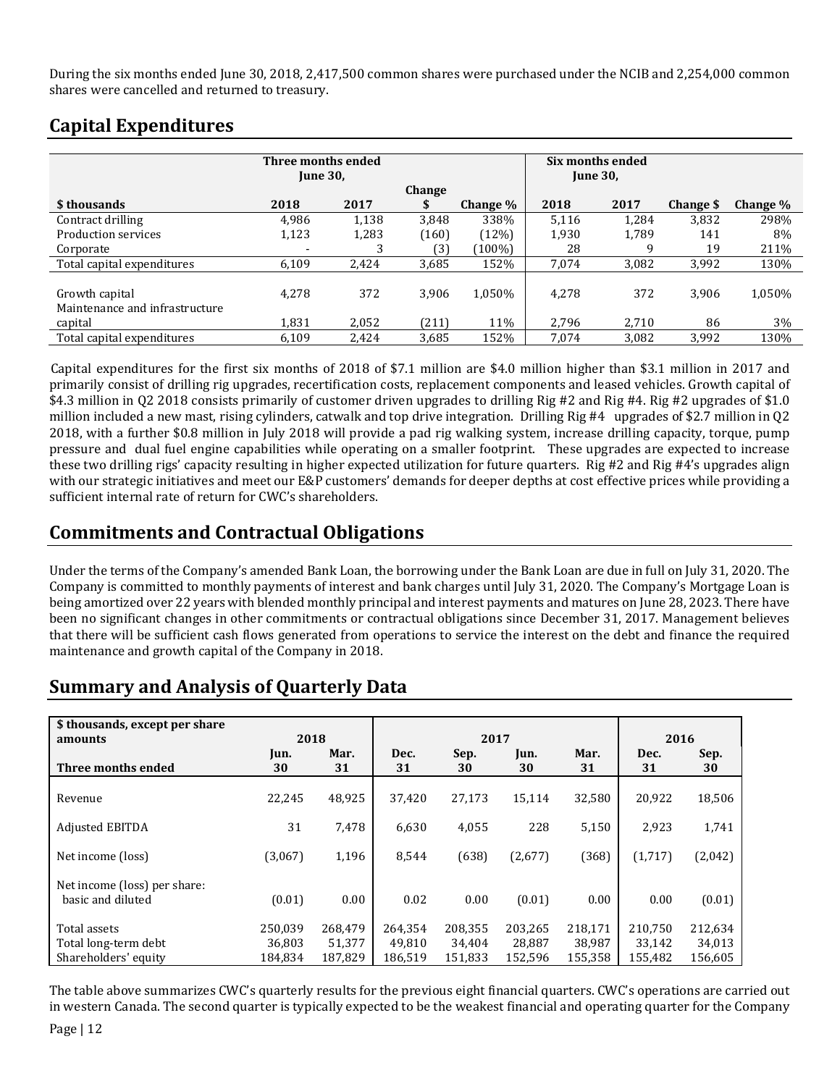During the six months ended June 30, 2018, 2,417,500 common shares were purchased under the NCIB and 2,254,000 common shares were cancelled and returned to treasury.

|                                | Three months ended |       |               |          |                 | Six months ended |           |          |
|--------------------------------|--------------------|-------|---------------|----------|-----------------|------------------|-----------|----------|
|                                | June 30,           |       |               |          | <b>June 30,</b> |                  |           |          |
|                                |                    |       | <b>Change</b> |          |                 |                  |           |          |
| \$ thousands                   | 2018               | 2017  | \$            | Change % | 2018            | 2017             | Change \$ | Change % |
| Contract drilling              | 4,986              | 1.138 | 3.848         | 338%     | 5.116           | 1.284            | 3.832     | 298%     |
| Production services            | 1,123              | 1,283 | (160)         | (12%)    | 1,930           | 1.789            | 141       | 8%       |
| Corporate                      |                    |       | (3)           | (100%)   | 28              | q                | 19        | 211%     |
| Total capital expenditures     | 6,109              | 2.424 | 3,685         | 152%     | 7.074           | 3,082            | 3,992     | 130%     |
|                                |                    |       |               |          |                 |                  |           |          |
| Growth capital                 | 4.278              | 372   | 3.906         | 1,050%   | 4,278           | 372              | 3,906     | 1,050%   |
| Maintenance and infrastructure |                    |       |               |          |                 |                  |           |          |
| capital                        | 1.831              | 2.052 | (211)         | 11%      | 2.796           | 2.710            | 86        | 3%       |
| Total capital expenditures     | 6.109              | 2.424 | 3,685         | 152%     | 7.074           | 3.082            | 3,992     | 130%     |

# **Capital Expenditures**

Capital expenditures for the first six months of 2018 of \$7.1 million are \$4.0 million higher than \$3.1 million in 2017 and primarily consist of drilling rig upgrades, recertification costs, replacement components and leased vehicles. Growth capital of \$4.3 million in Q2 2018 consists primarily of customer driven upgrades to drilling Rig #2 and Rig #4. Rig #2 upgrades of \$1.0 million included a new mast, rising cylinders, catwalk and top drive integration. Drilling Rig #4 upgrades of \$2.7 million in Q2 2018, with a further \$0.8 million in July 2018 will provide a pad rig walking system, increase drilling capacity, torque, pump pressure and dual fuel engine capabilities while operating on a smaller footprint. These upgrades are expected to increase these two drilling rigs' capacity resulting in higher expected utilization for future quarters. Rig #2 and Rig #4's upgrades align with our strategic initiatives and meet our E&P customers' demands for deeper depths at cost effective prices while providing a sufficient internal rate of return for CWC's shareholders.

# **Commitments and Contractual Obligations**

Under the terms of the Company's amended Bank Loan, the borrowing under the Bank Loan are due in full on July 31, 2020. The Company is committed to monthly payments of interest and bank charges until July 31, 2020. The Company's Mortgage Loan is being amortized over 22 years with blended monthly principal and interest payments and matures on June 28, 2023. There have been no significant changes in other commitments or contractual obligations since December 31, 2017. Management believes that there will be sufficient cash flows generated from operations to service the interest on the debt and finance the required maintenance and growth capital of the Company in 2018.

## **Summary and Analysis of Quarterly Data**

| \$ thousands, except per share                    |         |         |         |         |         |         |         |         |
|---------------------------------------------------|---------|---------|---------|---------|---------|---------|---------|---------|
| amounts                                           | 2018    |         | 2017    |         |         |         | 2016    |         |
|                                                   | Jun.    | Mar.    | Dec.    | Sep.    | Jun.    | Mar.    | Dec.    | Sep.    |
| Three months ended                                | 30      | 31      | 31      | 30      | 30      | 31      | 31      | 30      |
| Revenue                                           | 22,245  | 48,925  | 37,420  | 27,173  | 15,114  | 32,580  | 20,922  | 18,506  |
| <b>Adjusted EBITDA</b>                            | 31      | 7,478   | 6,630   | 4,055   | 228     | 5,150   | 2.923   | 1,741   |
| Net income (loss)                                 | (3,067) | 1,196   | 8,544   | (638)   | (2,677) | (368)   | (1,717) | (2,042) |
| Net income (loss) per share:<br>basic and diluted | (0.01)  | 0.00    | 0.02    | 0.00    | (0.01)  | 0.00    | 0.00    | (0.01)  |
| Total assets                                      | 250.039 | 268.479 | 264.354 | 208,355 | 203,265 | 218,171 | 210,750 | 212,634 |
| Total long-term debt                              | 36,803  | 51,377  | 49.810  | 34,404  | 28,887  | 38,987  | 33,142  | 34,013  |
| Shareholders' equity                              | 184.834 | 187,829 | 186.519 | 151,833 | 152,596 | 155,358 | 155.482 | 156,605 |

The table above summarizes CWC's quarterly results for the previous eight financial quarters. CWC's operations are carried out in western Canada. The second quarter is typically expected to be the weakest financial and operating quarter for the Company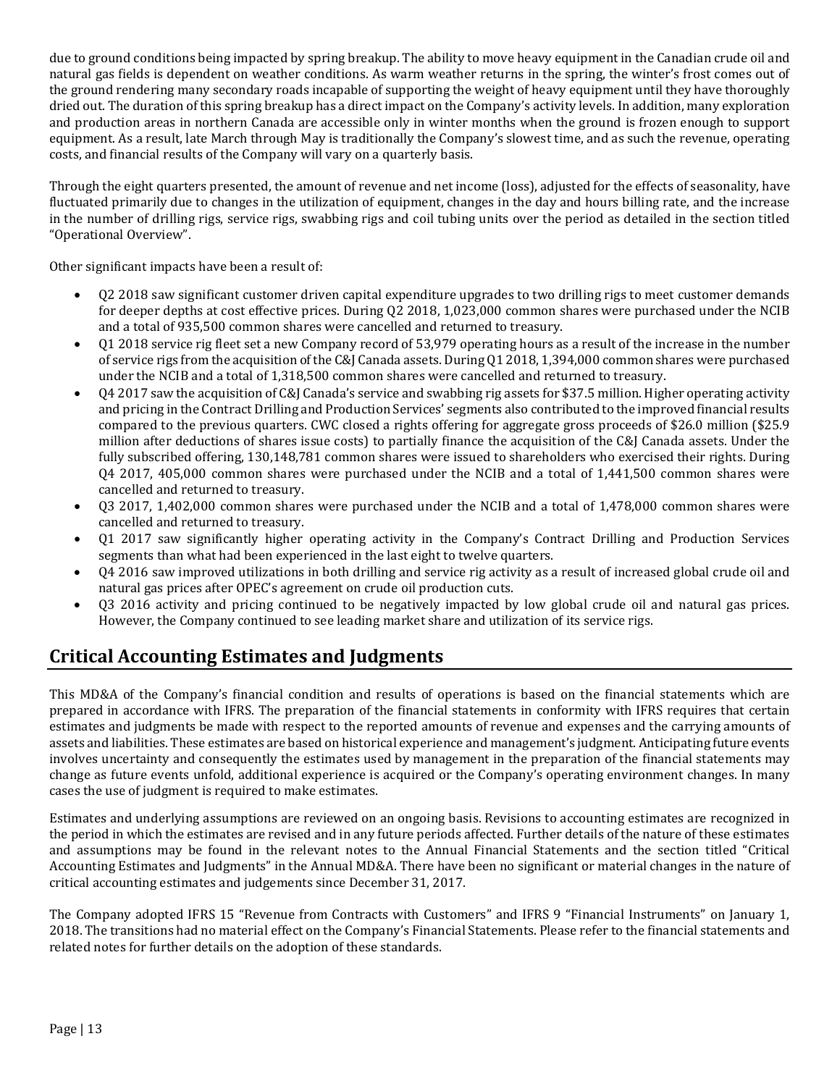due to ground conditions being impacted by spring breakup. The ability to move heavy equipment in the Canadian crude oil and natural gas fields is dependent on weather conditions. As warm weather returns in the spring, the winter's frost comes out of the ground rendering many secondary roads incapable of supporting the weight of heavy equipment until they have thoroughly dried out. The duration of this spring breakup has a direct impact on the Company's activity levels. In addition, many exploration and production areas in northern Canada are accessible only in winter months when the ground is frozen enough to support equipment. As a result, late March through May is traditionally the Company's slowest time, and as such the revenue, operating costs, and financial results of the Company will vary on a quarterly basis.

Through the eight quarters presented, the amount of revenue and net income (loss), adjusted for the effects of seasonality, have fluctuated primarily due to changes in the utilization of equipment, changes in the day and hours billing rate, and the increase in the number of drilling rigs, service rigs, swabbing rigs and coil tubing units over the period as detailed in the section titled "Operational Overview".

Other significant impacts have been a result of:

- Q2 2018 saw significant customer driven capital expenditure upgrades to two drilling rigs to meet customer demands for deeper depths at cost effective prices. During Q2 2018, 1,023,000 common shares were purchased under the NCIB and a total of 935,500 common shares were cancelled and returned to treasury.
- Q1 2018 service rig fleet set a new Company record of 53,979 operating hours as a result of the increase in the number of service rigs from the acquisition of the C&J Canada assets. During Q1 2018, 1,394,000 common shares were purchased under the NCIB and a total of 1,318,500 common shares were cancelled and returned to treasury.
- Q4 2017 saw the acquisition of C&J Canada's service and swabbing rig assets for \$37.5 million. Higher operating activity and pricing in the Contract Drilling and Production Services' segments also contributed to the improved financial results compared to the previous quarters. CWC closed a rights offering for aggregate gross proceeds of \$26.0 million (\$25.9 million after deductions of shares issue costs) to partially finance the acquisition of the C&J Canada assets. Under the fully subscribed offering, 130,148,781 common shares were issued to shareholders who exercised their rights. During Q4 2017, 405,000 common shares were purchased under the NCIB and a total of 1,441,500 common shares were cancelled and returned to treasury.
- Q3 2017, 1,402,000 common shares were purchased under the NCIB and a total of 1,478,000 common shares were cancelled and returned to treasury.
- Q1 2017 saw significantly higher operating activity in the Company's Contract Drilling and Production Services segments than what had been experienced in the last eight to twelve quarters.
- Q4 2016 saw improved utilizations in both drilling and service rig activity as a result of increased global crude oil and natural gas prices after OPEC's agreement on crude oil production cuts.
- Q3 2016 activity and pricing continued to be negatively impacted by low global crude oil and natural gas prices. However, the Company continued to see leading market share and utilization of its service rigs.

## **Critical Accounting Estimates and Judgments**

This MD&A of the Company's financial condition and results of operations is based on the financial statements which are prepared in accordance with IFRS. The preparation of the financial statements in conformity with IFRS requires that certain estimates and judgments be made with respect to the reported amounts of revenue and expenses and the carrying amounts of assets and liabilities. These estimates are based on historical experience and management's judgment. Anticipating future events involves uncertainty and consequently the estimates used by management in the preparation of the financial statements may change as future events unfold, additional experience is acquired or the Company's operating environment changes. In many cases the use of judgment is required to make estimates.

Estimates and underlying assumptions are reviewed on an ongoing basis. Revisions to accounting estimates are recognized in the period in which the estimates are revised and in any future periods affected. Further details of the nature of these estimates and assumptions may be found in the relevant notes to the Annual Financial Statements and the section titled "Critical Accounting Estimates and Judgments" in the Annual MD&A. There have been no significant or material changes in the nature of critical accounting estimates and judgements since December 31, 2017.

The Company adopted IFRS 15 "Revenue from Contracts with Customers" and IFRS 9 "Financial Instruments" on January 1, 2018. The transitions had no material effect on the Company's Financial Statements. Please refer to the financial statements and related notes for further details on the adoption of these standards.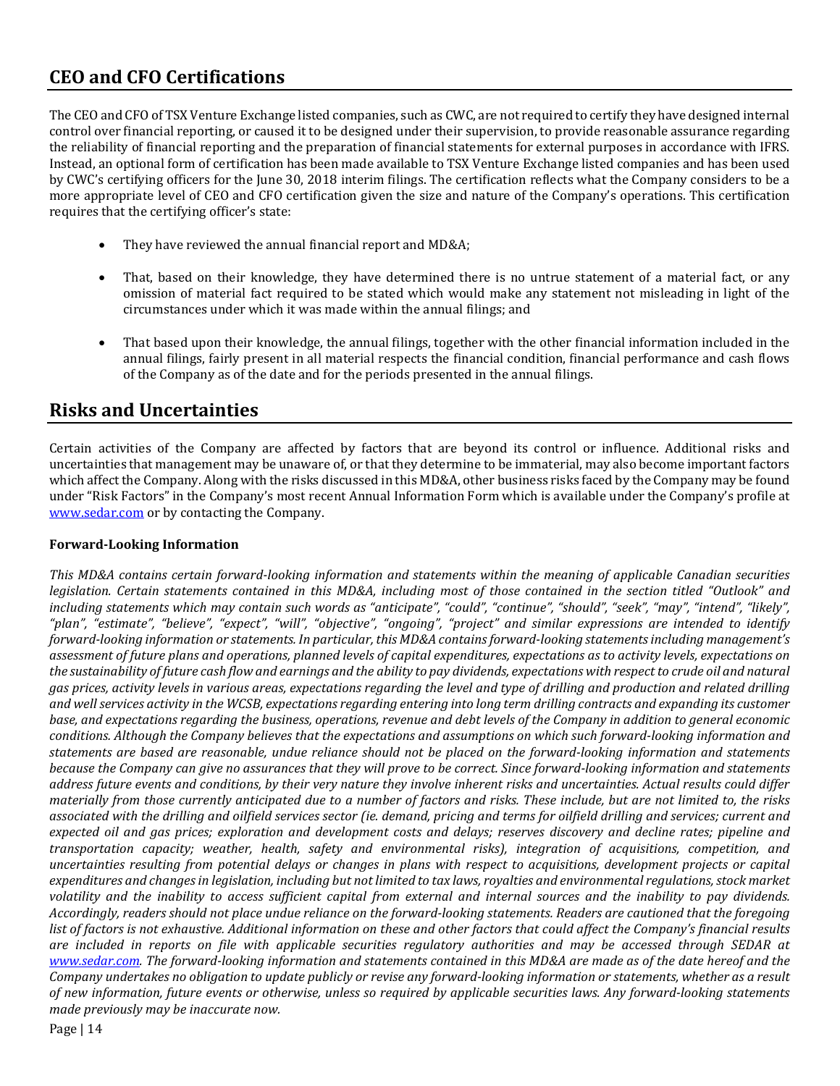## **CEO and CFO Certifications**

The CEO and CFO of TSX Venture Exchange listed companies, such as CWC, are not required to certify they have designed internal control over financial reporting, or caused it to be designed under their supervision, to provide reasonable assurance regarding the reliability of financial reporting and the preparation of financial statements for external purposes in accordance with IFRS. Instead, an optional form of certification has been made available to TSX Venture Exchange listed companies and has been used by CWC's certifying officers for the June 30, 2018 interim filings. The certification reflects what the Company considers to be a more appropriate level of CEO and CFO certification given the size and nature of the Company's operations. This certification requires that the certifying officer's state:

- They have reviewed the annual financial report and MD&A;
- That, based on their knowledge, they have determined there is no untrue statement of a material fact, or any omission of material fact required to be stated which would make any statement not misleading in light of the circumstances under which it was made within the annual filings; and
- That based upon their knowledge, the annual filings, together with the other financial information included in the annual filings, fairly present in all material respects the financial condition, financial performance and cash flows of the Company as of the date and for the periods presented in the annual filings.

### **Risks and Uncertainties**

Certain activities of the Company are affected by factors that are beyond its control or influence. Additional risks and uncertainties that management may be unaware of, or that they determine to be immaterial, may also become important factors which affect the Company. Along with the risks discussed in this MD&A, other business risks faced by the Company may be found under "Risk Factors" in the Company's most recent Annual Information Form which is available under the Company's profile at [www.sedar.com](http://www.sedar.com/)</u> or by contacting the Company.

### **Forward-Looking Information**

*This MD&A contains certain forward-looking information and statements within the meaning of applicable Canadian securities legislation. Certain statements contained in this MD&A, including most of those contained in the section titled "Outlook" and including statements which may contain such words as "anticipate", "could", "continue", "should", "seek", "may", "intend", "likely", "plan", "estimate", "believe", "expect", "will", "objective", "ongoing", "project" and similar expressions are intended to identify forward-looking information or statements. In particular, this MD&A contains forward-looking statements including management's assessment of future plans and operations, planned levels of capital expenditures, expectations as to activity levels, expectations on the sustainability of future cash flow and earnings and the ability to pay dividends, expectations with respect to crude oil and natural gas prices, activity levels in various areas, expectations regarding the level and type of drilling and production and related drilling and well services activity in the WCSB, expectations regarding entering into long term drilling contracts and expanding its customer base, and expectations regarding the business, operations, revenue and debt levels of the Company in addition to general economic conditions. Although the Company believes that the expectations and assumptions on which such forward-looking information and statements are based are reasonable, undue reliance should not be placed on the forward-looking information and statements because the Company can give no assurances that they will prove to be correct. Since forward-looking information and statements address future events and conditions, by their very nature they involve inherent risks and uncertainties. Actual results could differ materially from those currently anticipated due to a number of factors and risks. These include, but are not limited to, the risks associated with the drilling and oilfield services sector (ie. demand, pricing and terms for oilfield drilling and services; current and expected oil and gas prices; exploration and development costs and delays; reserves discovery and decline rates; pipeline and transportation capacity; weather, health, safety and environmental risks), integration of acquisitions, competition, and uncertainties resulting from potential delays or changes in plans with respect to acquisitions, development projects or capital expenditures and changes in legislation, including but not limited to tax laws, royalties and environmental regulations, stock market volatility and the inability to access sufficient capital from external and internal sources and the inability to pay dividends. Accordingly, readers should not place undue reliance on the forward-looking statements. Readers are cautioned that the foregoing list of factors is not exhaustive. Additional information on these and other factors that could affect the Company's financial results are included in reports on file with applicable securities regulatory authorities and may be accessed through SEDAR at [www.sedar.com.](http://www.sedar.com/) The forward-looking information and statements contained in this MD&A are made as of the date hereof and the Company undertakes no obligation to update publicly or revise any forward-looking information or statements, whether as a result of new information, future events or otherwise, unless so required by applicable securities laws. Any forward-looking statements made previously may be inaccurate now.*